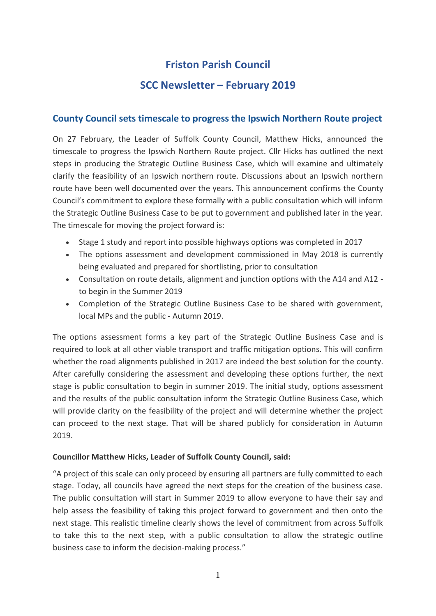# **Friston Parish Council**

## **SCC Newsletter – February 2019**

## **County Council sets timescale to progress the Ipswich Northern Route project**

On 27 February, the Leader of Suffolk County Council, Matthew Hicks, announced the timescale to progress the Ipswich Northern Route project. Cllr Hicks has outlined the next steps in producing the Strategic Outline Business Case, which will examine and ultimately clarify the feasibility of an Ipswich northern route. Discussions about an Ipswich northern route have been well documented over the years. This announcement confirms the County Council's commitment to explore these formally with a public consultation which will inform the Strategic Outline Business Case to be put to government and published later in the year. The timescale for moving the project forward is:

- Stage 1 study and report into possible highways options was completed in 2017
- The options assessment and development commissioned in May 2018 is currently being evaluated and prepared for shortlisting, prior to consultation
- Consultation on route details, alignment and junction options with the A14 and A12 to begin in the Summer 2019
- Completion of the Strategic Outline Business Case to be shared with government, local MPs and the public - Autumn 2019.

The options assessment forms a key part of the Strategic Outline Business Case and is required to look at all other viable transport and traffic mitigation options. This will confirm whether the road alignments published in 2017 are indeed the best solution for the county. After carefully considering the assessment and developing these options further, the next stage is public consultation to begin in summer 2019. The initial study, options assessment and the results of the public consultation inform the Strategic Outline Business Case, which will provide clarity on the feasibility of the project and will determine whether the project can proceed to the next stage. That will be shared publicly for consideration in Autumn 2019.

#### **Councillor Matthew Hicks, Leader of Suffolk County Council, said:**

"A project of this scale can only proceed by ensuring all partners are fully committed to each stage. Today, all councils have agreed the next steps for the creation of the business case. The public consultation will start in Summer 2019 to allow everyone to have their say and help assess the feasibility of taking this project forward to government and then onto the next stage. This realistic timeline clearly shows the level of commitment from across Suffolk to take this to the next step, with a public consultation to allow the strategic outline business case to inform the decision-making process."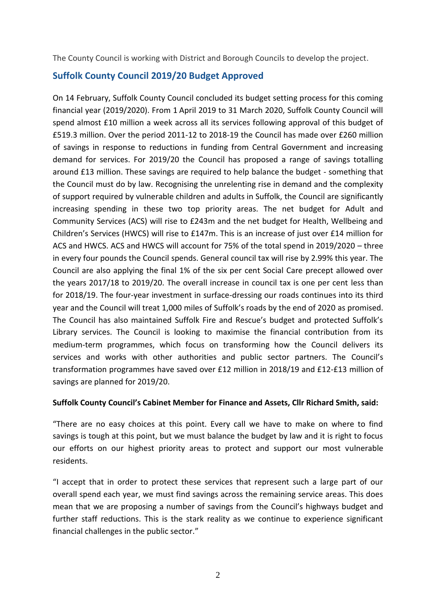The County Council is working with District and Borough Councils to develop the project.

## **Suffolk County Council 2019/20 Budget Approved**

On 14 February, Suffolk County Council concluded its budget setting process for this coming financial year (2019/2020). From 1 April 2019 to 31 March 2020, Suffolk County Council will spend almost £10 million a week across all its services following approval of this budget of £519.3 million. Over the period 2011-12 to 2018-19 the Council has made over £260 million of savings in response to reductions in funding from Central Government and increasing demand for services. For 2019/20 the Council has proposed a range of savings totalling around £13 million. These savings are required to help balance the budget - something that the Council must do by law. Recognising the unrelenting rise in demand and the complexity of support required by vulnerable children and adults in Suffolk, the Council are significantly increasing spending in these two top priority areas. The net budget for Adult and Community Services (ACS) will rise to £243m and the net budget for Health, Wellbeing and Children's Services (HWCS) will rise to £147m. This is an increase of just over £14 million for ACS and HWCS. ACS and HWCS will account for 75% of the total spend in 2019/2020 – three in every four pounds the Council spends. General council tax will rise by 2.99% this year. The Council are also applying the final 1% of the six per cent Social Care precept allowed over the years 2017/18 to 2019/20. The overall increase in council tax is one per cent less than for 2018/19. The four-year investment in surface-dressing our roads continues into its third year and the Council will treat 1,000 miles of Suffolk's roads by the end of 2020 as promised. The Council has also maintained Suffolk Fire and Rescue's budget and protected Suffolk's Library services. The Council is looking to maximise the financial contribution from its medium-term programmes, which focus on transforming how the Council delivers its services and works with other authorities and public sector partners. The Council's transformation programmes have saved over £12 million in 2018/19 and £12-£13 million of savings are planned for 2019/20.

#### **Suffolk County Council's Cabinet Member for Finance and Assets, Cllr Richard Smith, said:**

"There are no easy choices at this point. Every call we have to make on where to find savings is tough at this point, but we must balance the budget by law and it is right to focus our efforts on our highest priority areas to protect and support our most vulnerable residents.

"I accept that in order to protect these services that represent such a large part of our overall spend each year, we must find savings across the remaining service areas. This does mean that we are proposing a number of savings from the Council's highways budget and further staff reductions. This is the stark reality as we continue to experience significant financial challenges in the public sector."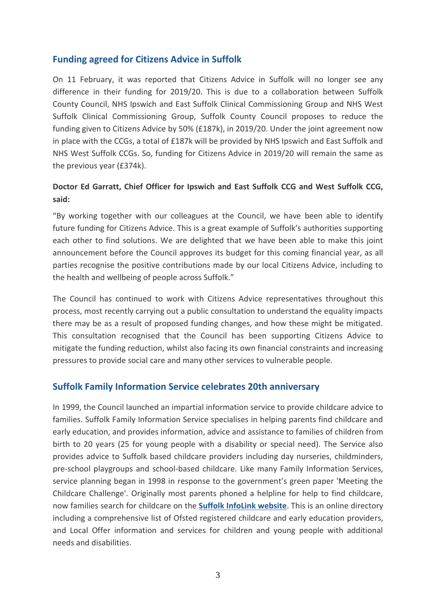## **Funding agreed for Citizens Advice in Suffolk**

On 11 February, it was reported that Citizens Advice in Suffolk will no longer see any difference in their funding for 2019/20. This is due to a collaboration between Suffolk County Council, NHS Ipswich and East Suffolk Clinical Commissioning Group and NHS West Suffolk Clinical Commissioning Group, Suffolk County Council proposes to reduce the funding given to Citizens Advice by 50% (£187k), in 2019/20. Under the joint agreement now in place with the CCGs, a total of £187k will be provided by NHS Ipswich and East Suffolk and NHS West Suffolk CCGs. So, funding for Citizens Advice in 2019/20 will remain the same as the previous year (£374k).

## **Doctor Ed Garratt, Chief Officer for Ipswich and East Suffolk CCG and West Suffolk CCG, said:**

"By working together with our colleagues at the Council, we have been able to identify future funding for Citizens Advice. This is a great example of Suffolk's authorities supporting each other to find solutions. We are delighted that we have been able to make this joint announcement before the Council approves its budget for this coming financial year, as all parties recognise the positive contributions made by our local Citizens Advice, including to the health and wellbeing of people across Suffolk."

The Council has continued to work with Citizens Advice representatives throughout this process, most recently carrying out a public consultation to understand the equality impacts there may be as a result of proposed funding changes, and how these might be mitigated. This consultation recognised that the Council has been supporting Citizens Advice to mitigate the funding reduction, whilst also facing its own financial constraints and increasing pressures to provide social care and many other services to vulnerable people.

## **Suffolk Family Information Service celebrates 20th anniversary**

In 1999, the Council launched an impartial information service to provide childcare advice to families. Suffolk Family Information Service specialises in helping parents find childcare and early education, and provides information, advice and assistance to families of children from birth to 20 years (25 for young people with a disability or special need). The Service also provides advice to Suffolk based childcare providers including day nurseries, childminders, pre-school playgroups and school-based childcare. Like many Family Information Services, service planning began in 1998 in response to the government's green paper 'Meeting the Childcare Challenge'. Originally most parents phoned a helpline for help to find childcare, now families search for childcare on the **[Suffolk InfoLink website](https://infolink.suffolk.gov.uk/kb5/suffolk/infolink/home.page)**. This is an online directory including a comprehensive list of Ofsted registered childcare and early education providers, and Local Offer information and services for children and young people with additional needs and disabilities.